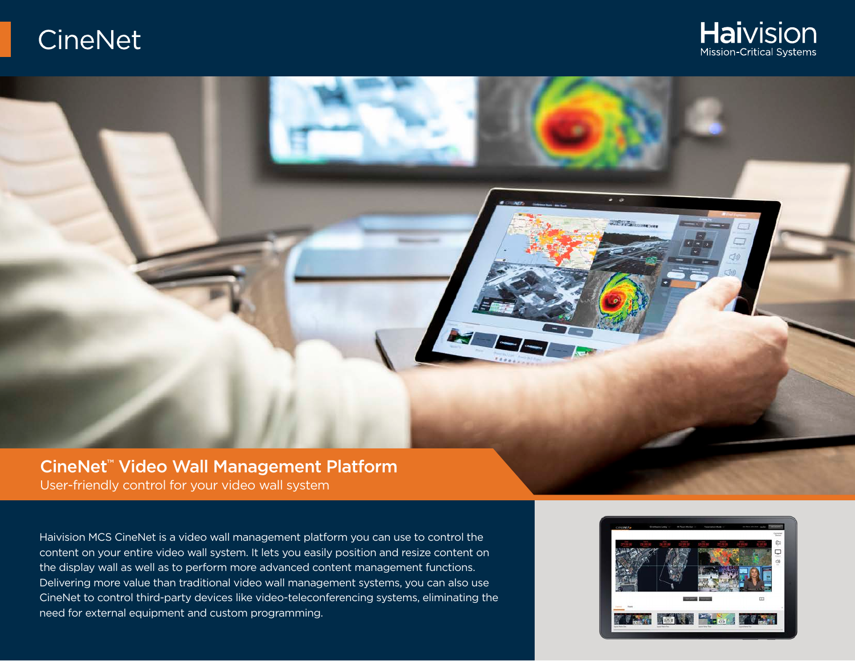

# $\bullet$   $\bullet$  $\sigma_{c1} = \frac{1}{1 + \sigma_{c2}}$ CineNet™ Video Wall Management Platform User-friendly control for your video wall system

Haivision MCS CineNet is a video wall management platform you can use to control the content on your entire video wall system. It lets you easily position and resize content on the display wall as well as to perform more advanced content management functions. Delivering more value than traditional video wall management systems, you can also use CineNet to control third-party devices like video-teleconferencing systems, eliminating the need for external equipment and custom programming.

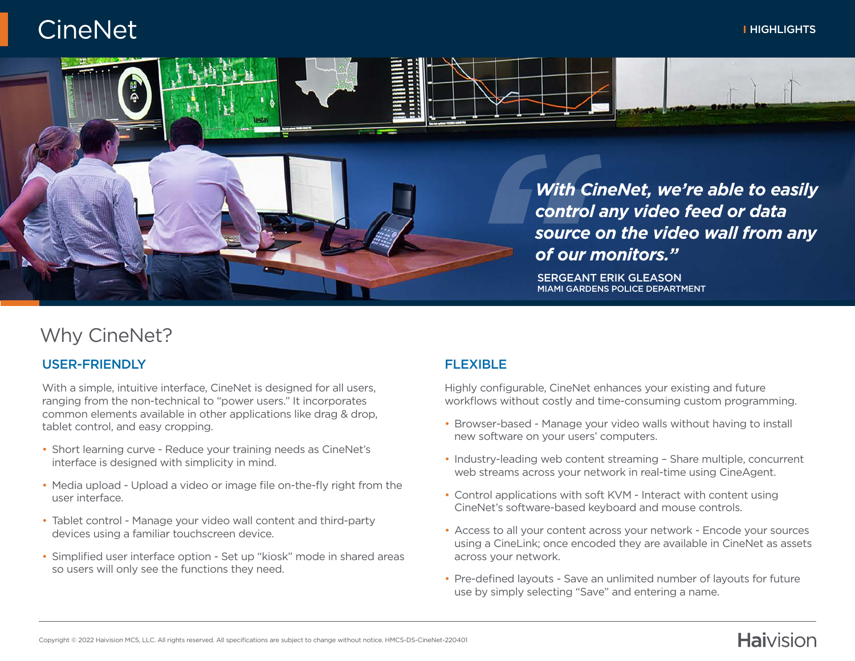#### HIGHLIGHTS

**Haivision** 

# **CineNet**



## Why CineNet?

#### USER-FRIENDLY

With a simple, intuitive interface, CineNet is designed for all users. ranging from the non-technical to "power users." It incorporates common elements available in other applications like drag & drop, tablet control, and easy cropping.

- Short learning curve Reduce your training needs as CineNet's interface is designed with simplicity in mind.
- Media upload Upload a video or image file on-the-fly right from the user interface.
- Tablet control Manage your video wall content and third-party devices using a familiar touchscreen device.
- Simplified user interface option Set up "kiosk" mode in shared areas so users will only see the functions they need.

#### FLEXIBLE

Highly configurable, CineNet enhances your existing and future workflows without costly and time-consuming custom programming.

- Browser-based Manage your video walls without having to install new software on your users' computers.
- Industry-leading web content streaming Share multiple, concurrent web streams across your network in real-time using CineAgent.
- Control applications with soft KVM Interact with content using CineNet's software-based keyboard and mouse controls.
- Access to all your content across your network Encode your sources using a CineLink; once encoded they are available in CineNet as assets across your network.
- Pre-defined layouts Save an unlimited number of layouts for future use by simply selecting "Save" and entering a name.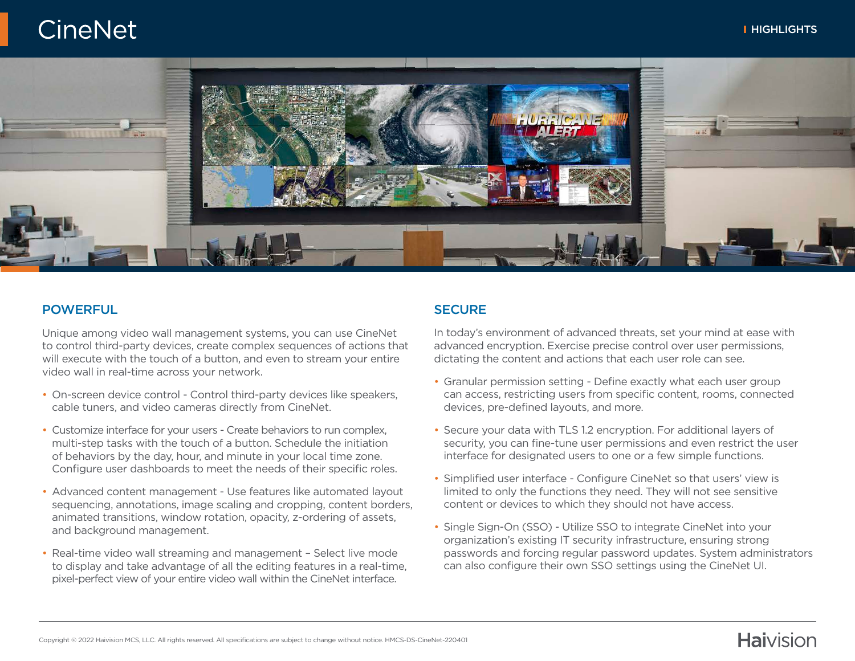

#### POWERFUL

Unique among video wall management systems, you can use CineNet to control third-party devices, create complex sequences of actions that will execute with the touch of a button, and even to stream your entire video wall in real-time across your network.

- On-screen device control Control third-party devices like speakers, cable tuners, and video cameras directly from CineNet.
- Customize interface for your users Create behaviors to run complex, multi-step tasks with the touch of a button. Schedule the initiation of behaviors by the day, hour, and minute in your local time zone. Configure user dashboards to meet the needs of their specific roles.
- Advanced content management Use features like automated layout sequencing, annotations, image scaling and cropping, content borders, animated transitions, window rotation, opacity, z-ordering of assets, and background management.
- Real-time video wall streaming and management Select live mode to display and take advantage of all the editing features in a real-time, pixel-perfect view of your entire video wall within the CineNet interface.

#### **SECURE**

In today's environment of advanced threats, set your mind at ease with advanced encryption. Exercise precise control over user permissions, dictating the content and actions that each user role can see.

- Granular permission setting Define exactly what each user group can access, restricting users from specific content, rooms, connected devices, pre-defined layouts, and more.
- Secure your data with TLS 1.2 encryption. For additional layers of security, you can fine-tune user permissions and even restrict the user interface for designated users to one or a few simple functions.
- Simplified user interface Configure CineNet so that users' view is limited to only the functions they need. They will not see sensitive content or devices to which they should not have access.
- Single Sign-On (SSO) Utilize SSO to integrate CineNet into your organization's existing IT security infrastructure, ensuring strong passwords and forcing regular password updates. System administrators can also configure their own SSO settings using the CineNet UI.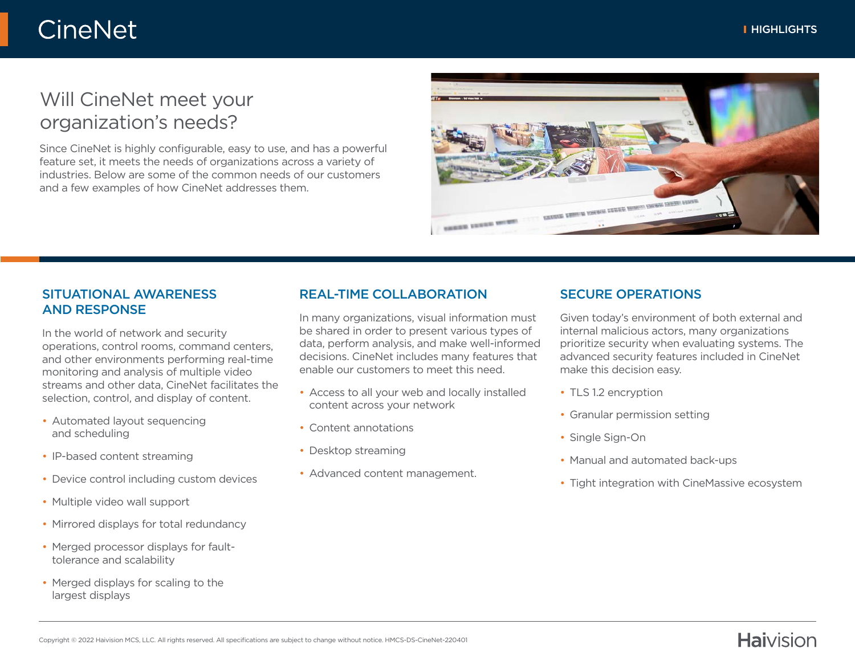## Will CineNet meet your organization's needs?

Since CineNet is highly configurable, easy to use, and has a powerful feature set, it meets the needs of organizations across a variety of industries. Below are some of the common needs of our customers and a few examples of how CineNet addresses them.



#### SITUATIONAL AWARENESS AND RESPONSE

In the world of network and security operations, control rooms, command centers, and other environments performing real-time monitoring and analysis of multiple video streams and other data, CineNet facilitates the selection, control, and display of content.

- Automated layout sequencing and scheduling
- IP-based content streaming
- Device control including custom devices
- Multiple video wall support
- Mirrored displays for total redundancy
- Merged processor displays for faulttolerance and scalability
- Merged displays for scaling to the largest displays

#### REAL-TIME COLLABORATION

In many organizations, visual information must be shared in order to present various types of data, perform analysis, and make well-informed decisions. CineNet includes many features that enable our customers to meet this need.

- Access to all your web and locally installed content across your network
- Content annotations
- Desktop streaming
- Advanced content management.

#### SECURE OPERATIONS

Given today's environment of both external and internal malicious actors, many organizations prioritize security when evaluating systems. The advanced security features included in CineNet make this decision easy.

- TLS 1.2 encryption
- Granular permission setting
- Single Sign-On
- Manual and automated back-ups
- Tight integration with CineMassive ecosystem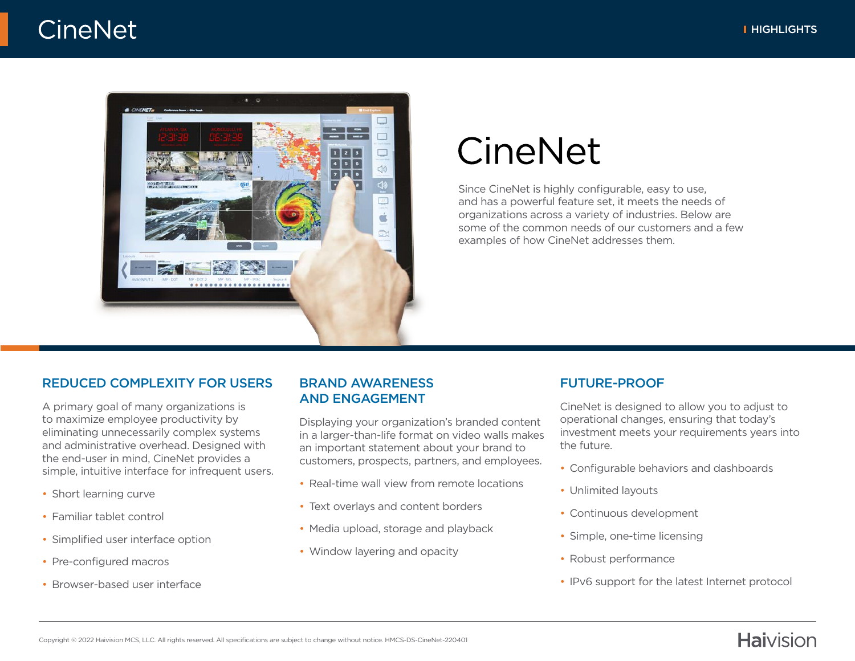

# CineNet

Since CineNet is highly configurable, easy to use, and has a powerful feature set, it meets the needs of organizations across a variety of industries. Below are some of the common needs of our customers and a few examples of how CineNet addresses them.

#### REDUCED COMPLEXITY FOR USERS

A primary goal of many organizations is to maximize employee productivity by eliminating unnecessarily complex systems and administrative overhead. Designed with the end-user in mind, CineNet provides a simple, intuitive interface for infrequent users.

- Short learning curve
- Familiar tablet control
- Simplified user interface option
- Pre-configured macros
- Browser-based user interface

#### BRAND AWARENESS AND ENGAGEMENT

Displaying your organization's branded content in a larger-than-life format on video walls makes an important statement about your brand to customers, prospects, partners, and employees.

- Real-time wall view from remote locations
- Text overlays and content borders
- Media upload, storage and playback
- Window layering and opacity

#### FUTURE-PROOF

CineNet is designed to allow you to adjust to operational changes, ensuring that today's investment meets your requirements years into the future.

- Configurable behaviors and dashboards
- Unlimited layouts
- Continuous development
- Simple, one-time licensing
- Robust performance
- IPv6 support for the latest Internet protocol

### **Haivision**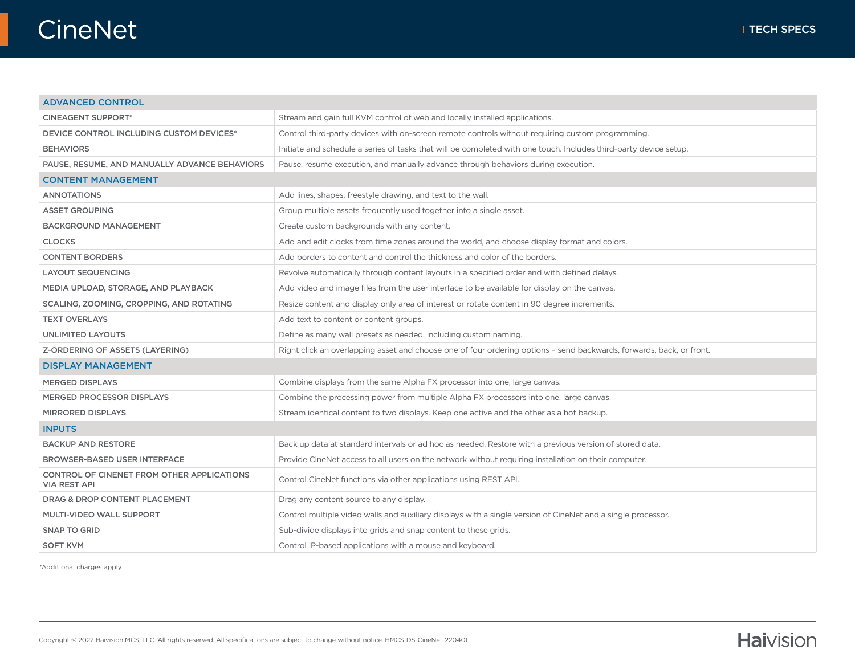٦

#### ADVANCED CONTROL

| <b>CINEAGENT SUPPORT*</b>                                         | Stream and gain full KVM control of web and locally installed applications.                                          |  |
|-------------------------------------------------------------------|----------------------------------------------------------------------------------------------------------------------|--|
| <b>DEVICE CONTROL INCLUDING CUSTOM DEVICES*</b>                   | Control third-party devices with on-screen remote controls without requiring custom programming.                     |  |
| <b>BEHAVIORS</b>                                                  | Initiate and schedule a series of tasks that will be completed with one touch. Includes third-party device setup.    |  |
| PAUSE, RESUME, AND MANUALLY ADVANCE BEHAVIORS                     | Pause, resume execution, and manually advance through behaviors during execution.                                    |  |
| <b>CONTENT MANAGEMENT</b>                                         |                                                                                                                      |  |
| <b>ANNOTATIONS</b>                                                | Add lines, shapes, freestyle drawing, and text to the wall.                                                          |  |
| ASSET GROUPING                                                    | Group multiple assets frequently used together into a single asset.                                                  |  |
| <b>BACKGROUND MANAGEMENT</b>                                      | Create custom backgrounds with any content.                                                                          |  |
| <b>CLOCKS</b>                                                     | Add and edit clocks from time zones around the world, and choose display format and colors.                          |  |
| <b>CONTENT BORDERS</b>                                            | Add borders to content and control the thickness and color of the borders.                                           |  |
| <b>LAYOUT SEQUENCING</b>                                          | Revolve automatically through content layouts in a specified order and with defined delays.                          |  |
| MEDIA UPLOAD, STORAGE, AND PLAYBACK                               | Add video and image files from the user interface to be available for display on the canvas.                         |  |
| SCALING, ZOOMING, CROPPING, AND ROTATING                          | Resize content and display only area of interest or rotate content in 90 degree increments.                          |  |
| <b>TEXT OVERLAYS</b>                                              | Add text to content or content groups.                                                                               |  |
| <b>UNLIMITED LAYOUTS</b>                                          | Define as many wall presets as needed, including custom naming.                                                      |  |
| Z-ORDERING OF ASSETS (LAYERING)                                   | Right click an overlapping asset and choose one of four ordering options - send backwards, forwards, back, or front. |  |
| <b>DISPLAY MANAGEMENT</b>                                         |                                                                                                                      |  |
| <b>MERGED DISPLAYS</b>                                            | Combine displays from the same Alpha FX processor into one, large canvas.                                            |  |
| MERGED PROCESSOR DISPLAYS                                         | Combine the processing power from multiple Alpha FX processors into one, large canvas.                               |  |
| <b>MIRRORED DISPLAYS</b>                                          | Stream identical content to two displays. Keep one active and the other as a hot backup.                             |  |
| <b>INPUTS</b>                                                     |                                                                                                                      |  |
| <b>BACKUP AND RESTORE</b>                                         | Back up data at standard intervals or ad hoc as needed. Restore with a previous version of stored data.              |  |
| <b>BROWSER-BASED USER INTERFACE</b>                               | Provide CineNet access to all users on the network without requiring installation on their computer.                 |  |
| CONTROL OF CINENET FROM OTHER APPLICATIONS<br><b>VIA REST API</b> | Control CineNet functions via other applications using REST API.                                                     |  |
| <b>DRAG &amp; DROP CONTENT PLACEMENT</b>                          | Drag any content source to any display.                                                                              |  |
| MULTI-VIDEO WALL SUPPORT                                          | Control multiple video walls and auxiliary displays with a single version of CineNet and a single processor.         |  |
| <b>SNAP TO GRID</b>                                               | Sub-divide displays into grids and snap content to these grids.                                                      |  |
| <b>SOFT KVM</b>                                                   | Control IP-based applications with a mouse and keyboard.                                                             |  |

\*Additional charges apply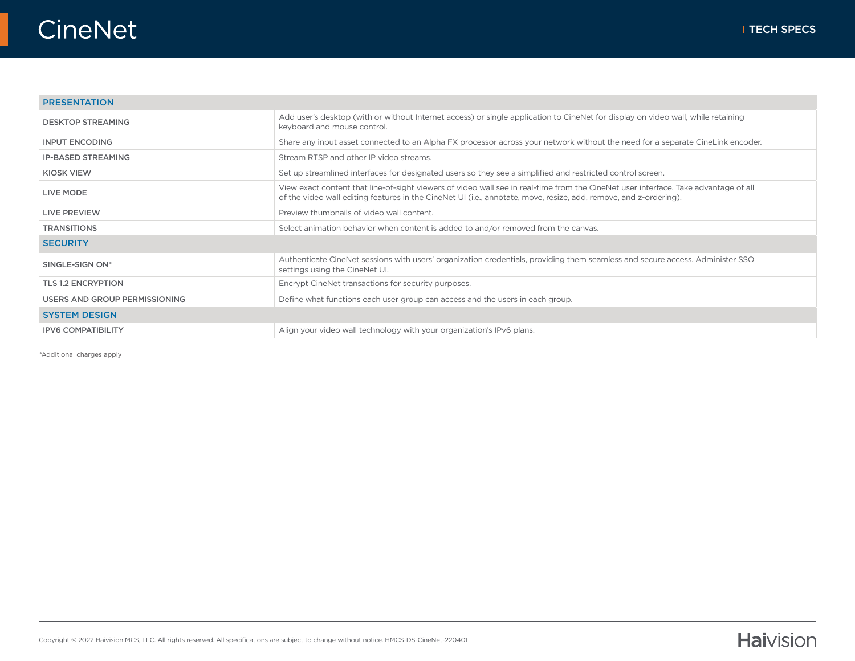٦

#### PRESENTATION

| <b>DESKTOP STREAMING</b>      | Add user's desktop (with or without Internet access) or single application to CineNet for display on video wall, while retaining<br>keyboard and mouse control.                                                                                          |
|-------------------------------|----------------------------------------------------------------------------------------------------------------------------------------------------------------------------------------------------------------------------------------------------------|
| <b>INPUT ENCODING</b>         | Share any input asset connected to an Alpha FX processor across your network without the need for a separate CineLink encoder.                                                                                                                           |
| <b>IP-BASED STREAMING</b>     | Stream RTSP and other IP video streams.                                                                                                                                                                                                                  |
| <b>KIOSK VIEW</b>             | Set up streamlined interfaces for designated users so they see a simplified and restricted control screen.                                                                                                                                               |
| <b>LIVE MODE</b>              | View exact content that line-of-sight viewers of video wall see in real-time from the CineNet user interface. Take advantage of all<br>of the video wall editing features in the CineNet UI (i.e., annotate, move, resize, add, remove, and z-ordering). |
| LIVE PREVIEW                  | Preview thumbnails of video wall content.                                                                                                                                                                                                                |
| <b>TRANSITIONS</b>            | Select animation behavior when content is added to and/or removed from the canvas.                                                                                                                                                                       |
| <b>SECURITY</b>               |                                                                                                                                                                                                                                                          |
| SINGLE-SIGN ON*               | Authenticate CineNet sessions with users' organization credentials, providing them seamless and secure access. Administer SSO<br>settings using the CineNet UI.                                                                                          |
| <b>TLS 1.2 ENCRYPTION</b>     | Encrypt CineNet transactions for security purposes.                                                                                                                                                                                                      |
| USERS AND GROUP PERMISSIONING | Define what functions each user group can access and the users in each group.                                                                                                                                                                            |
| <b>SYSTEM DESIGN</b>          |                                                                                                                                                                                                                                                          |
| <b>IPV6 COMPATIBILITY</b>     | Align your video wall technology with your organization's IPv6 plans.                                                                                                                                                                                    |

\*Additional charges apply